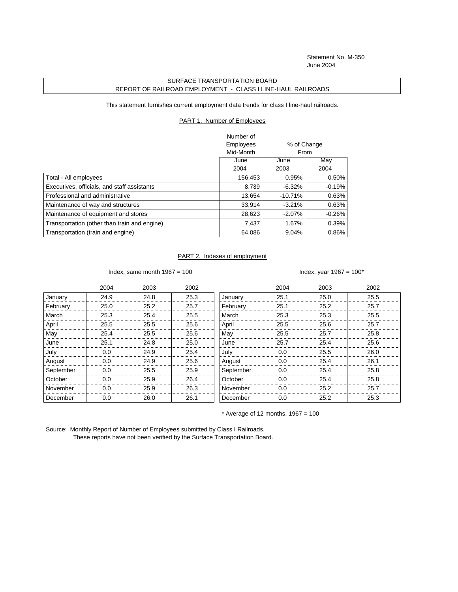Statement No. M-350 June 2004

## SURFACE TRANSPORTATION BOARD REPORT OF RAILROAD EMPLOYMENT - CLASS I LINE-HAUL RAILROADS

This statement furnishes current employment data trends for class I line-haul railroads.

## PART 1. Number of Employees

|                                              | Number of |             |          |
|----------------------------------------------|-----------|-------------|----------|
|                                              | Employees | % of Change |          |
|                                              | Mid-Month | <b>From</b> |          |
|                                              | June      | June        | May      |
|                                              | 2004      | 2003        | 2004     |
| Total - All employees                        | 156,453   | 0.95%       | $0.50\%$ |
| Executives, officials, and staff assistants  | 8,739     | $-6.32%$    | $-0.19%$ |
| Professional and administrative              | 13.654    | $-10.71%$   | 0.63%    |
| Maintenance of way and structures            | 33,914    | $-3.21%$    | 0.63%    |
| Maintenance of equipment and stores          | 28,623    | $-2.07%$    | $-0.26%$ |
| Transportation (other than train and engine) | 7.437     | 1.67%       | 0.39%    |
| Transportation (train and engine)            | 64,086    | 9.04%       | $0.86\%$ |

## PART 2. Indexes of employment

Index, same month  $1967 = 100$  Index, year  $1967 = 100*$ 

|           | 2004 | 2003 | 2002 |           | 2004 | 2003 | 2002 |
|-----------|------|------|------|-----------|------|------|------|
| January   | 24.9 | 24.8 | 25.3 | January   | 25.1 | 25.0 | 25.5 |
| February  | 25.0 | 25.2 | 25.7 | February  | 25.1 | 25.2 | 25.7 |
| March     | 25.3 | 25.4 | 25.5 | March     | 25.3 | 25.3 | 25.5 |
| April     | 25.5 | 25.5 | 25.6 | April     | 25.5 | 25.6 | 25.7 |
| May       | 25.4 | 25.5 | 25.6 | May       | 25.5 | 25.7 | 25.8 |
| June      | 25.1 | 24.8 | 25.0 | June      | 25.7 | 25.4 | 25.6 |
| July      | 0.0  | 24.9 | 25.4 | July      | 0.0  | 25.5 | 26.0 |
| August    | 0.0  | 24.9 | 25.6 | August    | 0.0  | 25.4 | 26.1 |
| September | 0.0  | 25.5 | 25.9 | September | 0.0  | 25.4 | 25.8 |
| October   | 0.0  | 25.9 | 26.4 | October   | 0.0  | 25.4 | 25.8 |
| November  | 0.0  | 25.9 | 26.3 | November  | 0.0  | 25.2 | 25.7 |
| December  | 0.0  | 26.0 | 26.1 | December  | 0.0  | 25.2 | 25.3 |

 $*$  Average of 12 months, 1967 = 100

Source: Monthly Report of Number of Employees submitted by Class I Railroads. These reports have not been verified by the Surface Transportation Board.